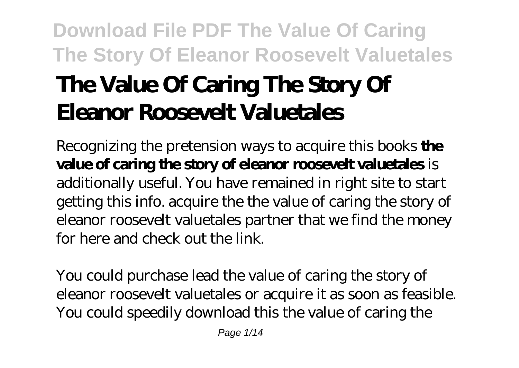# **Download File PDF The Value Of Caring The Story Of Eleanor Roosevelt Valuetales The Value Of Caring The Story Of Eleanor Roosevelt Valuetales**

Recognizing the pretension ways to acquire this books **the value of caring the story of eleanor roosevelt valuetales** is additionally useful. You have remained in right site to start getting this info. acquire the the value of caring the story of eleanor roosevelt valuetales partner that we find the money for here and check out the link.

You could purchase lead the value of caring the story of eleanor roosevelt valuetales or acquire it as soon as feasible. You could speedily download this the value of caring the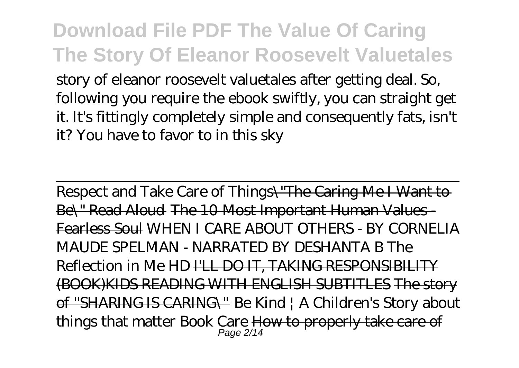story of eleanor roosevelt valuetales after getting deal. So, following you require the ebook swiftly, you can straight get it. It's fittingly completely simple and consequently fats, isn't it? You have to favor to in this sky

Respect and Take Care of Things\"The Caring Me I Want to Be\" Read Aloud The 10 Most Important Human Values Fearless Soul WHEN I CARE ABOUT OTHERS - BY CORNELIA MAUDE SPELMAN - NARRATED BY DESHANTA B The Reflection in Me HD I'LL DO IT, TAKING RESPONSIBILITY (BOOK)KIDS READING WITH ENGLISH SUBTITLES The story of ''SHARING IS CARING\" Be Kind | A Children's Story about things that matter Book Care <del>How to properly take care of</del>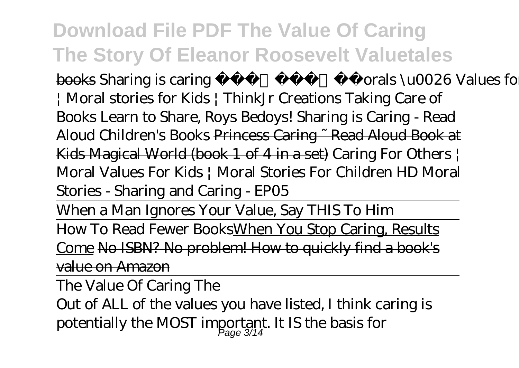books Sharing is caring | Morals \u0026 Values for kids | Moral stories for Kids | ThinkJr Creations Taking Care of Books Learn to Share, Roys Bedoys! Sharing is Caring - Read Aloud Children's Books Princess Caring ~ Read Aloud Book at Kids Magical World (book 1 of 4 in a set) *Caring For Others | Moral Values For Kids | Moral Stories For Children HD Moral Stories - Sharing and Caring - EP05*

When a Man Ignores Your Value, Say THIS To Him How To Read Fewer BooksWhen You Stop Caring, Results Come No ISBN? No problem! How to quickly find a book's value on Amazon

The Value Of Caring The

Out of ALL of the values you have listed, I think caring is potentially the MOST important. It IS the basis for Page 3/14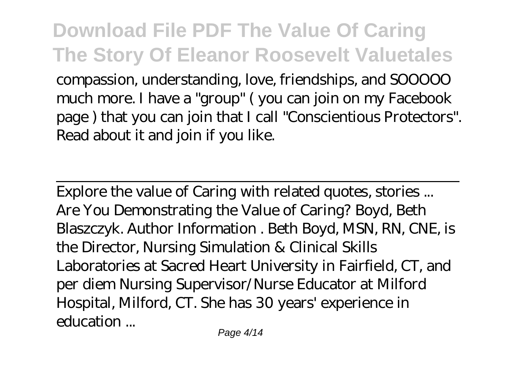compassion, understanding, love, friendships, and SOOOOO much more. I have a "group" ( you can join on my Facebook page ) that you can join that I call "Conscientious Protectors". Read about it and join if you like.

Explore the value of Caring with related quotes, stories ... Are You Demonstrating the Value of Caring? Boyd, Beth Blaszczyk. Author Information . Beth Boyd, MSN, RN, CNE, is the Director, Nursing Simulation & Clinical Skills Laboratories at Sacred Heart University in Fairfield, CT, and per diem Nursing Supervisor/Nurse Educator at Milford Hospital, Milford, CT. She has 30 years' experience in education ...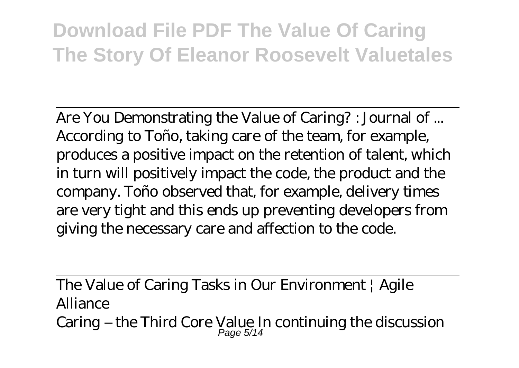Are You Demonstrating the Value of Caring? : Journal of ... According to Toño, taking care of the team, for example, produces a positive impact on the retention of talent, which in turn will positively impact the code, the product and the company. Toño observed that, for example, delivery times are very tight and this ends up preventing developers from giving the necessary care and affection to the code.

The Value of Caring Tasks in Our Environment | Agile Alliance Caring – the Third Core Value In continuing the discussion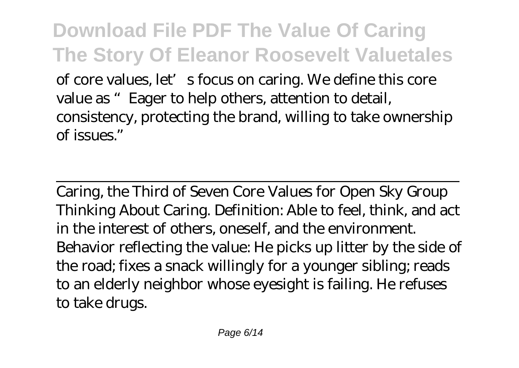**Download File PDF The Value Of Caring The Story Of Eleanor Roosevelt Valuetales** of core values, let's focus on caring. We define this core value as "Eager to help others, attention to detail, consistency, protecting the brand, willing to take ownership of issues."

Caring, the Third of Seven Core Values for Open Sky Group Thinking About Caring. Definition: Able to feel, think, and act in the interest of others, oneself, and the environment. Behavior reflecting the value: He picks up litter by the side of the road; fixes a snack willingly for a younger sibling; reads to an elderly neighbor whose eyesight is failing. He refuses to take drugs.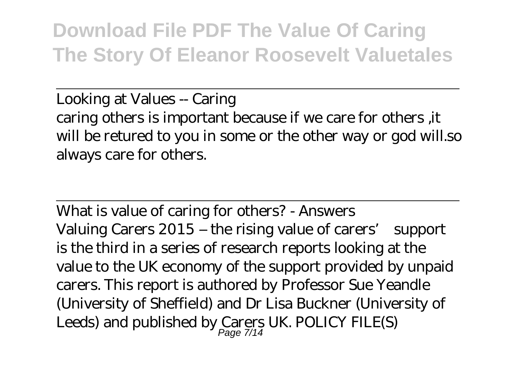Looking at Values -- Caring caring others is important because if we care for others ,it will be retured to you in some or the other way or god will.so always care for others.

What is value of caring for others? - Answers Valuing Carers 2015 – the rising value of carers' support is the third in a series of research reports looking at the value to the UK economy of the support provided by unpaid carers. This report is authored by Professor Sue Yeandle (University of Sheffield) and Dr Lisa Buckner (University of Leeds) and published by Carers UK. POLICY FILE(S)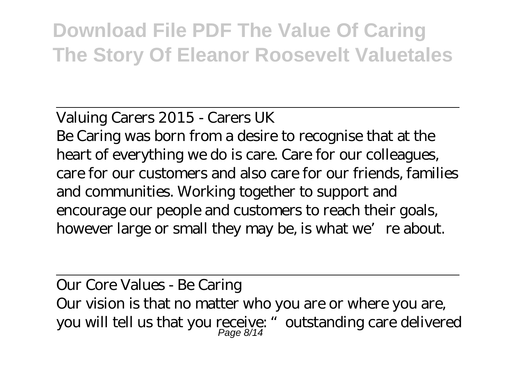#### Valuing Carers 2015 - Carers UK

Be Caring was born from a desire to recognise that at the heart of everything we do is care. Care for our colleagues, care for our customers and also care for our friends, families and communities. Working together to support and encourage our people and customers to reach their goals, however large or small they may be, is what we're about.

Our Core Values - Be Caring Our vision is that no matter who you are or where you are, you will tell us that you receive: " outstanding care delivered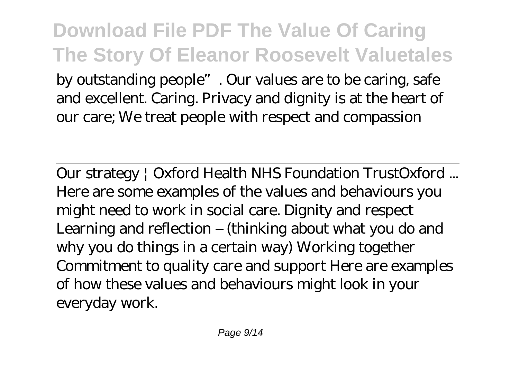**Download File PDF The Value Of Caring The Story Of Eleanor Roosevelt Valuetales** by outstanding people". Our values are to be caring, safe and excellent. Caring. Privacy and dignity is at the heart of our care; We treat people with respect and compassion

Our strategy | Oxford Health NHS Foundation TrustOxford ... Here are some examples of the values and behaviours you might need to work in social care. Dignity and respect Learning and reflection – (thinking about what you do and why you do things in a certain way) Working together Commitment to quality care and support Here are examples of how these values and behaviours might look in your everyday work.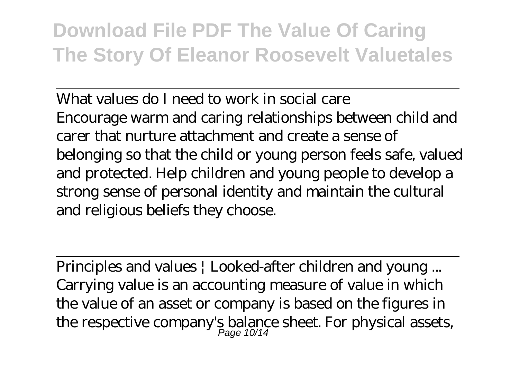What values do I need to work in social care Encourage warm and caring relationships between child and carer that nurture attachment and create a sense of belonging so that the child or young person feels safe, valued and protected. Help children and young people to develop a strong sense of personal identity and maintain the cultural and religious beliefs they choose.

Principles and values | Looked-after children and young ... Carrying value is an accounting measure of value in which the value of an asset or company is based on the figures in the respective company's balance sheet. For physical assets,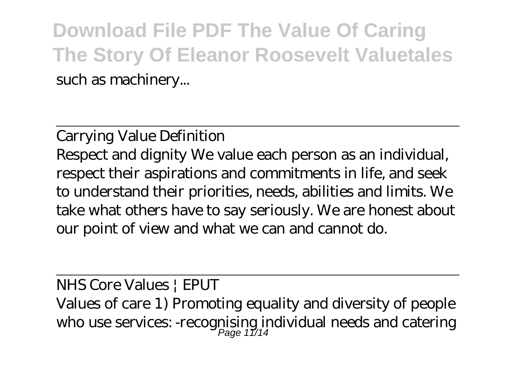**Download File PDF The Value Of Caring The Story Of Eleanor Roosevelt Valuetales** such as machinery...

Carrying Value Definition

Respect and dignity We value each person as an individual, respect their aspirations and commitments in life, and seek to understand their priorities, needs, abilities and limits. We take what others have to say seriously. We are honest about our point of view and what we can and cannot do.

NHS Core Values | EPUT Values of care 1) Promoting equality and diversity of people who use services: -recognising individual needs and catering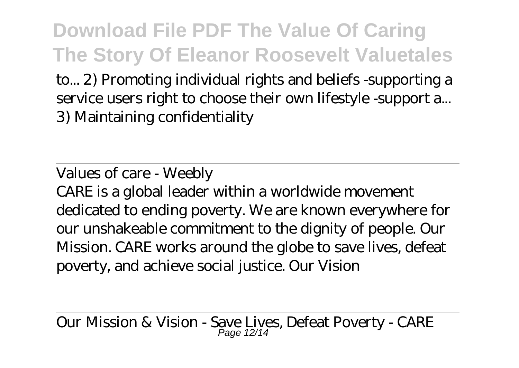to... 2) Promoting individual rights and beliefs -supporting a service users right to choose their own lifestyle -support a... 3) Maintaining confidentiality

Values of care - Weebly

CARE is a global leader within a worldwide movement dedicated to ending poverty. We are known everywhere for our unshakeable commitment to the dignity of people. Our Mission. CARE works around the globe to save lives, defeat poverty, and achieve social justice. Our Vision

Our Mission & Vision - Save Lives, Defeat Poverty - CARE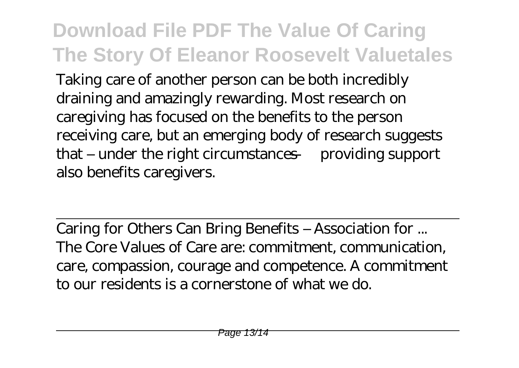Taking care of another person can be both incredibly draining and amazingly rewarding. Most research on caregiving has focused on the benefits to the person receiving care, but an emerging body of research suggests that – under the right circumstances — providing support also benefits caregivers.

Caring for Others Can Bring Benefits – Association for ... The Core Values of Care are: commitment, communication, care, compassion, courage and competence. A commitment to our residents is a cornerstone of what we do.